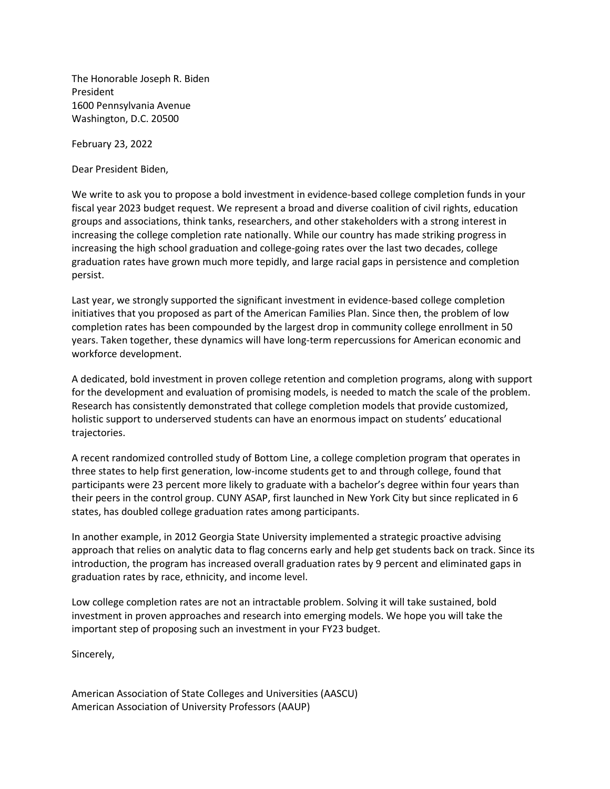The Honorable Joseph R. Biden President 1600 Pennsylvania Avenue Washington, D.C. 20500

February 23, 2022

Dear President Biden,

We write to ask you to propose a bold investment in evidence-based college completion funds in your fiscal year 2023 budget request. We represent a broad and diverse coalition of civil rights, education groups and associations, think tanks, researchers, and other stakeholders with a strong interest in increasing the college completion rate nationally. While our country has made striking progress in increasing the high school graduation and college-going rates over the last two decades, college graduation rates have grown much more tepidly, and large racial gaps in persistence and completion persist.

Last year, we strongly supported the significant investment in evidence-based college completion initiatives that you proposed as part of the American Families Plan. Since then, the problem of low completion rates has been compounded by the largest drop in community college enrollment in 50 years. Taken together, these dynamics will have long-term repercussions for American economic and workforce development.

A dedicated, bold investment in proven college retention and completion programs, along with support for the development and evaluation of promising models, is needed to match the scale of the problem. Research has consistently demonstrated that college completion models that provide customized, holistic support to underserved students can have an enormous impact on students' educational trajectories.

A recent randomized controlled study of Bottom Line, a college completion program that operates in three states to help first generation, low-income students get to and through college, found that participants were 23 percent more likely to graduate with a bachelor's degree within four years than their peers in the control group. CUNY ASAP, first launched in New York City but since replicated in 6 states, has doubled college graduation rates among participants.

In another example, in 2012 Georgia State University implemented a strategic proactive advising approach that relies on analytic data to flag concerns early and help get students back on track. Since its introduction, the program has increased overall graduation rates by 9 percent and eliminated gaps in graduation rates by race, ethnicity, and income level.

Low college completion rates are not an intractable problem. Solving it will take sustained, bold investment in proven approaches and research into emerging models. We hope you will take the important step of proposing such an investment in your FY23 budget.

Sincerely,

American Association of State Colleges and Universities (AASCU) American Association of University Professors (AAUP)